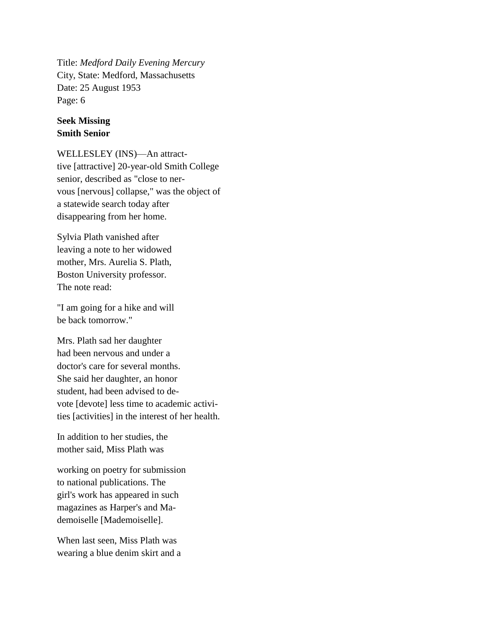Title: *Medford Daily Evening Mercury* City, State: Medford, Massachusetts Date: 25 August 1953 Page: 6

## **Seek Missing Smith Senior**

WELLESLEY (INS)—An attracttive [attractive] 20-year-old Smith College senior, described as "close to nervous [nervous] collapse," was the object of a statewide search today after disappearing from her home.

Sylvia Plath vanished after leaving a note to her widowed mother, Mrs. Aurelia S. Plath, Boston University professor. The note read:

"I am going for a hike and will be back tomorrow."

Mrs. Plath sad her daughter had been nervous and under a doctor's care for several months. She said her daughter, an honor student, had been advised to devote [devote] less time to academic activities [activities] in the interest of her health.

In addition to her studies, the mother said, Miss Plath was

working on poetry for submission to national publications. The girl's work has appeared in such magazines as Harper's and Mademoiselle [Mademoiselle].

When last seen, Miss Plath was wearing a blue denim skirt and a